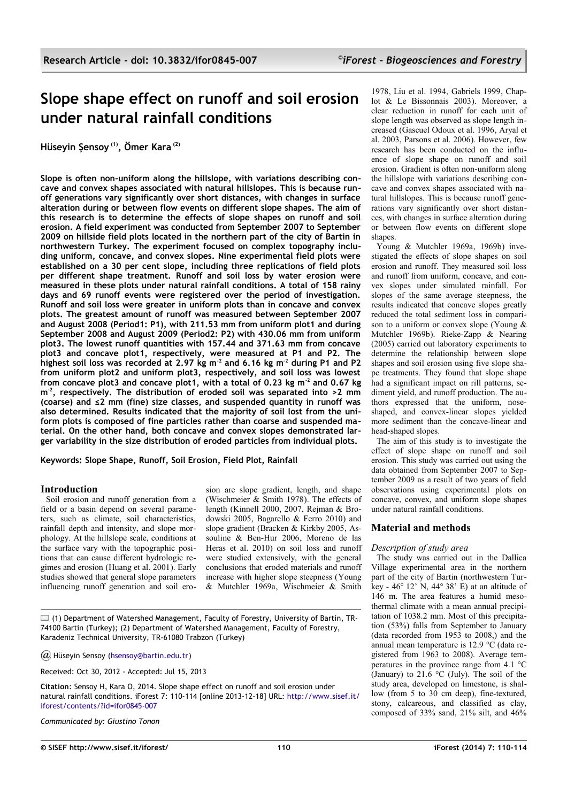# **Slope shape effect on runoff and soil erosion under natural rainfall conditions**

**Hüseyin Şensoy (1), Ömer Kara (2)**

**Slope is often non-uniform along the hillslope, with variations describing concave and convex shapes associated with natural hillslopes. This is because runoff generations vary significantly over short distances, with changes in surface alteration during or between flow events on different slope shapes. The aim of this research is to determine the effects of slope shapes on runoff and soil erosion. A field experiment was conducted from September 2007 to September 2009 on hillside field plots located in the northern part of the city of Bartin in northwestern Turkey. The experiment focused on complex topography including uniform, concave, and convex slopes. Nine experimental field plots were established on a 30 per cent slope, including three replications of field plots per different shape treatment. Runoff and soil loss by water erosion were measured in these plots under natural rainfall conditions. A total of 158 rainy days and 69 runoff events were registered over the period of investigation. Runoff and soil loss were greater in uniform plots than in concave and convex plots. The greatest amount of runoff was measured between September 2007 and August 2008 (Period1: P1), with 211.53 mm from uniform plot1 and during September 2008 and August 2009 (Period2: P2) with 430.06 mm from uniform plot3. The lowest runoff quantities with 157.44 and 371.63 mm from concave plot3 and concave plot1, respectively, were measured at P1 and P2. The highest soil loss was recorded at 2.97 kg m-2 and 6.16 kg m-2 during P1 and P2 from uniform plot2 and uniform plot3, respectively, and soil loss was lowest from concave plot3 and concave plot1, with a total of 0.23 kg m-2 and 0.67 kg m-2, respectively. The distribution of eroded soil was separated into >2 mm (coarse) and ≤2 mm (fine) size classes, and suspended quantity in runoff was also determined. Results indicated that the majority of soil lost from the uniform plots is composed of fine particles rather than coarse and suspended material. On the other hand, both concave and convex slopes demonstrated larger variability in the size distribution of eroded particles from individual plots.**

**Keywords: Slope Shape, Runoff, Soil Erosion, Field Plot, Rainfall**

## **Introduction**

Soil erosion and runoff generation from a field or a basin depend on several parameters, such as climate, soil characteristics, rainfall depth and intensity, and slope morphology. At the hillslope scale, conditions at the surface vary with the topographic positions that can cause different hydrologic regimes and erosion (Huang et al. 2001). Early studies showed that general slope parameters influencing runoff generation and soil erosion are slope gradient, length, and shape (Wischmeier & Smith 1978). The effects of length (Kinnell 2000, 2007, Rejman & Brodowski 2005, Bagarello & Ferro 2010) and slope gradient (Bracken & Kirkby 2005, Assouline & Ben-Hur 2006, Moreno de las Heras et al. 2010) on soil loss and runoff were studied extensively, with the general conclusions that eroded materials and runoff increase with higher slope steepness (Young & Mutchler 1969a, Wischmeier & Smith

 $\square$  (1) Department of Watershed Management, Faculty of Forestry, University of Bartin, TR-74100 Bartin (Turkey); (2) Department of Watershed Management, Faculty of Forestry, Karadeniz Technical University, TR-61080 Trabzon (Turkey)

*@* Hüseyin Sensoy [\(hsensoy@bartin.edu.tr\)](mailto:)

Received: Oct 30, 2012 - Accepted: Jul 15, 2013

**Citation**: Sensoy H, Kara O, 2014. Slope shape effect on runoff and soil erosion under natural rainfall conditions. iForest 7: 110-114 [online 2013-12-18] URL: [http://www.sisef.it/](http://www.sisef.it/iforest/contents/?id=ifor0845-007) [iforest/contents/?id=ifor0845-007](http://www.sisef.it/iforest/contents/?id=ifor0845-007)

*Communicated by: Giustino Tonon*

1978, Liu et al. 1994, Gabriels 1999, Chaplot & Le Bissonnais 2003). Moreover, a clear reduction in runoff for each unit of slope length was observed as slope length increased (Gascuel Odoux et al. 1996, Aryal et al. 2003, Parsons et al. 2006). However, few research has been conducted on the influence of slope shape on runoff and soil erosion. Gradient is often non-uniform along the hillslope with variations describing concave and convex shapes associated with natural hillslopes. This is because runoff generations vary significantly over short distances, with changes in surface alteration during or between flow events on different slope shapes

Young & Mutchler 1969a, 1969b) investigated the effects of slope shapes on soil erosion and runoff. They measured soil loss and runoff from uniform, concave, and convex slopes under simulated rainfall. For slopes of the same average steepness, the results indicated that concave slopes greatly reduced the total sediment loss in comparison to a uniform or convex slope (Young & Mutchler 1969b). Rieke-Zapp & Nearing (2005) carried out laboratory experiments to determine the relationship between slope shapes and soil erosion using five slope shape treatments. They found that slope shape had a significant impact on rill patterns, sediment yield, and runoff production. The authors expressed that the uniform, noseshaped, and convex-linear slopes yielded more sediment than the concave-linear and head-shaped slopes.

The aim of this study is to investigate the effect of slope shape on runoff and soil erosion. This study was carried out using the data obtained from September 2007 to September 2009 as a result of two years of field observations using experimental plots on concave, convex, and uniform slope shapes under natural rainfall conditions.

# **Material and methods**

## *Description of study area*

The study was carried out in the Dallica Village experimental area in the northern part of the city of Bartin (northwestern Turkey - 46° 12' N, 44° 38' E) at an altitude of 146 m. The area features a humid mesothermal climate with a mean annual precipitation of 1038.2 mm. Most of this precipitation (53%) falls from September to January (data recorded from 1953 to 2008,) and the annual mean temperature is 12.9 °C (data registered from 1963 to 2008). Average temperatures in the province range from 4.1 °C (January) to  $21.\overline{6}$  °C (July). The soil of the study area, developed on limestone, is shallow (from 5 to 30 cm deep), fine-textured, stony, calcareous, and classified as clay, composed of 33% sand, 21% silt, and 46%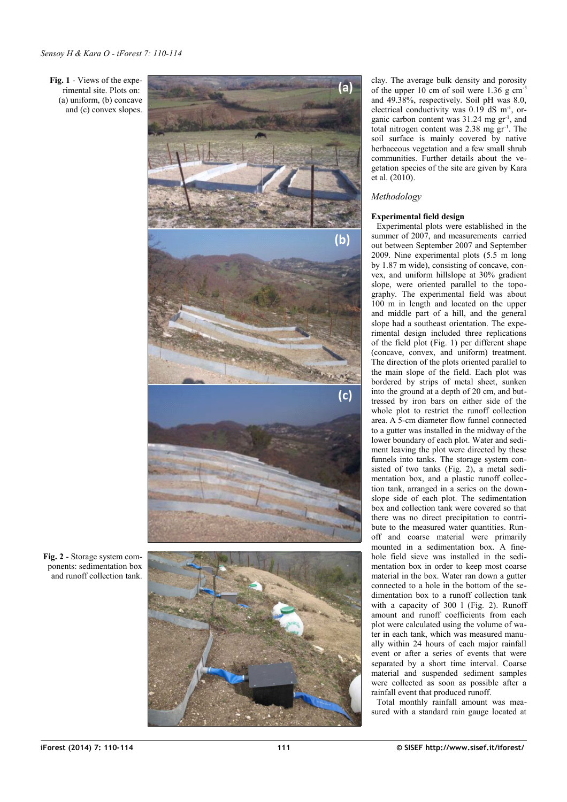<span id="page-1-0"></span>**Fig. 1** - Views of the expe rimental site. Plots on: (a) uniform, (b) concave and (c) convex slopes.



clay. The average bulk density and porosity of the upper 10 cm of soil were  $1.36$  g cm<sup>-3</sup> and 49.38%, respectively. Soil pH was 8.0, electrical conductivity was  $0.19$  dS m<sup>-1</sup>, organic carbon content was 31.24 mg gr<sup>-1</sup>, and total nitrogen content was 2.38 mg gr-1. The soil surface is mainly covered by native herbaceous vegetation and a few small shrub communities. Further details about the ve getation species of the site are given by Kara et al. (2010) .

## *Methodology*

## **Experimental field design**

Experimental plots were established in the summer of 2007, and measurements carried out between September 2007 and September 2009. Nine experimental plots (5.5 m long by 1.87 m wide), consisting of concave, con vex, and uniform hillslope at 30% gradient slope, were oriented parallel to the topo graphy. The experimental field was about 100 m in length and located on the upper and middle part of a hill, and the general slope had a southeast orientation. The expe rimental design included three replications of the field plot [\(Fig. 1\)](#page-1-0) per different shape (concave, convex, and uniform) treatment. The direction of the plots oriented parallel to the main slope of the field. Each plot was bordered by strips of metal sheet, sunken into the ground at a depth of 20 cm, and but tressed by iron bars on either side of the whole plot to restrict the runoff collection area. A 5-cm diameter flow funnel connected to a gutter was installed in the midway of the lower boundary of each plot. Water and sedi ment leaving the plot were directed by these funnels into tanks. The storage system con sisted of two tanks ([Fig. 2\)](#page-1-1), a metal sedi mentation box, and a plastic runoff collec tion tank, arranged in a series on the down slope side of each plot. The sedimentation box and collection tank were covered so that there was no direct precipitation to contri bute to the measured water quantities. Run off and coarse material were primarily mounted in a sedimentation box. A finehole field sieve was installed in the sedimentation box in order to keep most coarse material in the box. Water ran down a gutter connected to a hole in the bottom of the se dimentation box to a runoff collection tank with a capacity of 300 1 [\(Fig. 2\)](#page-1-1). Runoff amount and runoff coefficients from each plot were calculated using the volume of wa ter in each tank, which was measured manu ally within 24 hours of each major rainfall event or after a series of events that were separated by a short time interval. Coarse material and suspended sediment samples were collected as soon as possible after a rainfall event that produced runoff.

Total monthly rainfall amount was mea sured with a standard rain gauge located at

<span id="page-1-1"></span>**Fig. 2** - Storage system com ponents: sedimentation box and runoff collection tank.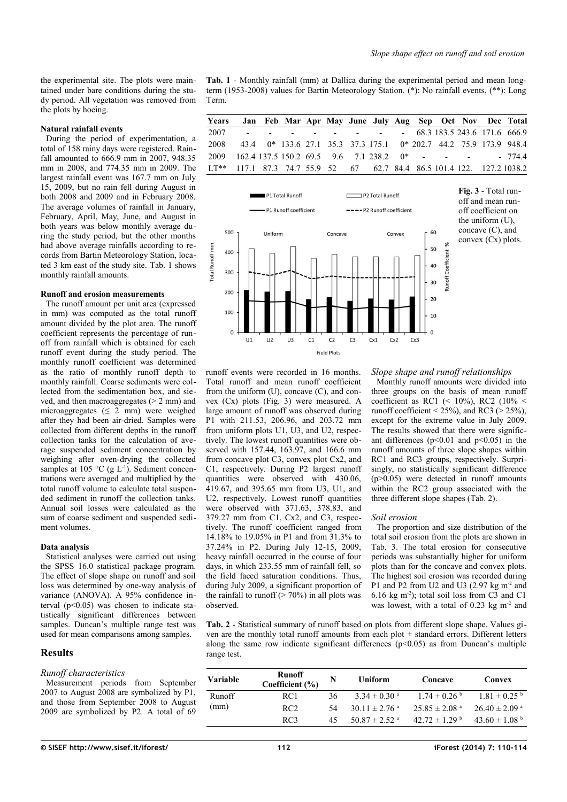the experimental site. The plots were maintained under bare conditions during the study period. All vegetation was removed from the plots by hoeing.

## **Natural rainfall events**

During the period of experimentation, a total of 158 rainy days were registered. Rainfall amounted to 666.9 mm in 2007, 948.35 mm in 2008, and 774.35 mm in 2009. The largest rainfall event was 167.7 mm on July 15, 2009, but no rain fell during August in both 2008 and 2009 and in February 2008. The average volumes of rainfall in January, February, April, May, June, and August in both years was below monthly average during the study period, but the other months had above average rainfalls according to records from Bartin Meteorology Station, located 3 km east of the study site. [Tab. 1](#page-2-2) shows monthly rainfall amounts.

#### **Runoff and erosion measurements**

The runoff amount per unit area (expressed in mm) was computed as the total runoff amount divided by the plot area. The runoff coefficient represents the percentage of runoff from rainfall which is obtained for each runoff event during the study period. The monthly runoff coefficient was determined as the ratio of monthly runoff depth to monthly rainfall. Coarse sediments were collected from the sedimentation box, and sieved, and then macroaggregates ( $> 2$  mm) and microaggregates ( $\leq 2$  mm) were weighed after they had been air-dried. Samples were collected from different depths in the runoff collection tanks for the calculation of average suspended sediment concentration by weighing after oven-drying the collected samples at 105 °C (g  $L^{-1}$ ). Sediment concentrations were averaged and multiplied by the total runoff volume to calculate total suspended sediment in runoff the collection tanks. Annual soil losses were calculated as the sum of coarse sediment and suspended sediment volumes.

#### **Data analysis**

Statistical analyses were carried out using the SPSS 16.0 statistical package program. The effect of slope shape on runoff and soil loss was determined by one-way analysis of variance (ANOVA). A 95% confidence interval  $(p<0.05)$  was chosen to indicate statistically significant differences between samples. Duncan's multiple range test was used for mean comparisons among samples.

## **Results**

## *Runoff characteristics*

Measurement periods from September 2007 to August 2008 are symbolized by P1, and those from September 2008 to August 2009 are symbolized by P2. A total of 69

<span id="page-2-2"></span>**Tab. 1** - Monthly rainfall (mm) at Dallica during the experimental period and mean longterm (1953-2008) values for Bartin Meteorology Station. (\*): No rainfall events, (\*\*): Long Term.

| Years Jan Feb Mar Apr May June July Aug Sep Oct Nov Dec Total          |  |  |  |  |  |  |  |
|------------------------------------------------------------------------|--|--|--|--|--|--|--|
| 2007 - - - - - - - - - 68.3 183.5 243.6 171.6 666.9                    |  |  |  |  |  |  |  |
| 2008 43.4 0* 133.6 27.1 35.3 37.3 175.1 0* 202.7 44.2 75.9 173.9 948.4 |  |  |  |  |  |  |  |
| 2009 162.4 137.5 150.2 69.5 9.6 7.1 238.2 0* - - - - 774.4             |  |  |  |  |  |  |  |
| LT** 117.1 87.3 74.7 55.9 52 67 62.7 84.4 86.5 101.4 122. 127.2 1038.2 |  |  |  |  |  |  |  |



runoff events were recorded in 16 months. Total runoff and mean runoff coefficient from the uniform (U), concave (C), and convex (Cx) plots [\(Fig. 3\)](#page-2-1) were measured. A large amount of runoff was observed during P1 with 211.53, 206.96, and 203.72 mm from uniform plots U1, U3, and U2, respectively. The lowest runoff quantities were observed with 157.44, 163.97, and 166.6 mm from concave plot C3, convex plot Cx2, and C1, respectively. During P2 largest runoff quantities were observed with 430.06, 419.67, and 395.65 mm from U3, U1, and U2, respectively. Lowest runoff quantities were observed with 371.63, 378.83, and 379.27 mm from C1, Cx2, and C3, respectively. The runoff coefficient ranged from 14.18% to 19.05% in P1 and from 31.3% to 37.24% in P2. During July 12-15, 2009, heavy rainfall occurred in the course of four days, in which 233.55 mm of rainfall fell, so the field faced saturation conditions. Thus, during July 2009, a significant proportion of the rainfall to runoff  $($  > 70%) in all plots was observed.

<span id="page-2-1"></span>*Slope shape and runoff relationships*

Monthly runoff amounts were divided into three groups on the basis of mean runoff coefficient as RC1 (< 10%), RC2 (10% < runoff coefficient <  $25\%$ ), and RC3 ( $> 25\%$ ), except for the extreme value in July 2009. The results showed that there were significant differences ( $p<0.01$  and  $p<0.05$ ) in the runoff amounts of three slope shapes within RC1 and RC3 groups, respectively. Surprisingly, no statistically significant difference  $(p>0.05)$  were detected in runoff amounts within the RC2 group associated with the three different slope shapes [\(Tab. 2\)](#page-2-0).

#### *Soil erosion*

The proportion and size distribution of the total soil erosion from the plots are shown in [Tab. 3.](#page-3-0) The total erosion for consecutive periods was substantially higher for uniform plots than for the concave and convex plots. The highest soil erosion was recorded during P1 and P2 from U2 and U3  $(2.97 \text{ kg m}^2 \text{ and }$ 6.16 kg m<sup>-2</sup>); total soil loss from C3 and C1 was lowest, with a total of  $0.23 \text{ kg m}^2$  and

<span id="page-2-0"></span>**Tab. 2** - Statistical summary of runoff based on plots from different slope shape. Values given are the monthly total runoff amounts from each plot  $\pm$  standard errors. Different letters along the same row indicate significant differences  $(p<0.05)$  as from Duncan's multiple range test.

| <b>Variable</b> | Runoff<br>Coefficient $(\% )$ |     | Uniform                       | Concave                       | Convex                        |
|-----------------|-------------------------------|-----|-------------------------------|-------------------------------|-------------------------------|
| Runoff          | RC1                           | 36. | $3.34 \pm 0.30$ <sup>a</sup>  | $1.74 \pm 0.26$ <sup>b</sup>  | $1.81 \pm 0.25$ <sup>b</sup>  |
| (mm)            | RC <sub>2</sub>               | 54  | $30.11 \pm 2.76$ <sup>a</sup> | $25.85 \pm 2.08$ <sup>a</sup> | $26.40 \pm 2.09$ <sup>a</sup> |
|                 | RC3                           | 45  | $50.87 \pm 2.52$ <sup>a</sup> | $42.72 \pm 1.29$ <sup>b</sup> | 43.60 $\pm$ 1.08 <sup>b</sup> |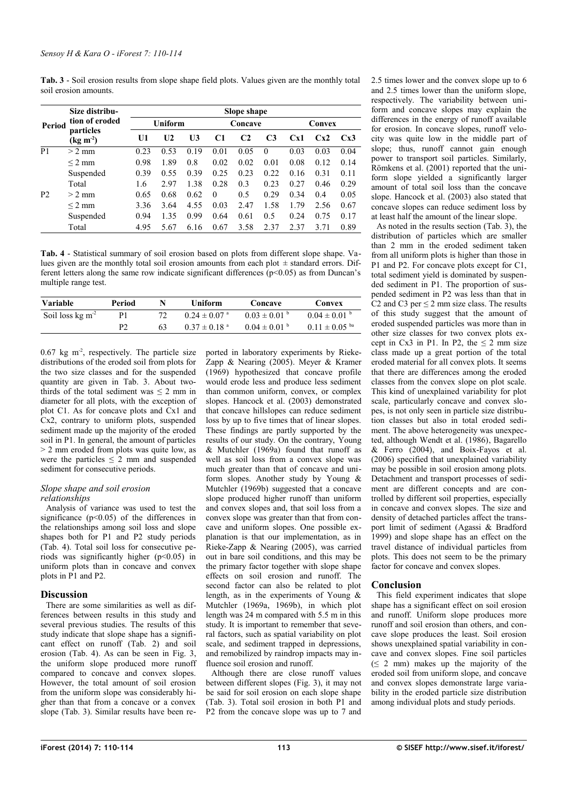<span id="page-3-0"></span>**Tab. 3** - Soil erosion results from slope shape field plots. Values given are the monthly total soil erosion amounts.

|                | Size distribu-                 | Slope shape |                |                |                |                |                |        |      |      |
|----------------|--------------------------------|-------------|----------------|----------------|----------------|----------------|----------------|--------|------|------|
| Period         | tion of eroded                 | Uniform     |                |                | Concave        |                |                | Convex |      |      |
|                | particles<br>$(\text{kg m}^2)$ | U1          | U <sub>2</sub> | U <sub>3</sub> | C <sub>1</sub> | C <sub>2</sub> | C <sub>3</sub> | Cx1    | Cx2  | Cx3  |
| P <sub>1</sub> | $> 2$ mm                       | 0.23        | 0.53           | 0.19           | 0.01           | 0.05           | $\Omega$       | 0.03   | 0.03 | 0.04 |
|                | $\leq$ 2 mm                    | 0.98        | 1.89           | 0.8            | 0.02           | 0.02           | 0.01           | 0.08   | 0.12 | 0.14 |
|                | Suspended                      | 0.39        | 0.55           | 0.39           | 0.25           | 0.23           | 0.22           | 0.16   | 0.31 | 0.11 |
|                | Total                          | 1.6         | 2.97           | 1.38           | 0.28           | 0.3            | 0.23           | 0.27   | 0.46 | 0.29 |
| <b>P2</b>      | $> 2$ mm                       | 0.65        | 0.68           | 0.62           | $\Omega$       | 0.5            | 0.29           | 0.34   | 0.4  | 0.05 |
|                | $\leq$ 2 mm                    | 3.36        | 3.64           | 4.55           | 0.03           | 2.47           | 1.58           | 1.79   | 2.56 | 0.67 |
|                | Suspended                      | 0.94        | 1.35           | 0.99           | 0.64           | 0.61           | 0.5            | 0.24   | 0.75 | 0.17 |
|                | Total                          | 4.95        | 5.67           | 6.16           | 0.67           | 3.58           | 2.37           | 2.37   | 3.71 | 0.89 |

<span id="page-3-1"></span>**Tab. 4** - Statistical summary of soil erosion based on plots from different slope shape. Values given are the monthly total soil erosion amounts from each plot  $\pm$  standard errors. Different letters along the same row indicate significant differences ( $p<0.05$ ) as from Duncan's multiple range test.

| Variable                        | Period |    | <b>Uniform</b>               | Concave                      | Convex             |
|---------------------------------|--------|----|------------------------------|------------------------------|--------------------|
| Soil loss $kg \, \text{m}^{-2}$ | P1     |    | $0.24 \pm 0.07$ <sup>a</sup> | $0.03 \pm 0.01$ b            | $0.04 \pm 0.01$ b  |
|                                 | р2     | 63 | $0.37 \pm 0.18$ <sup>a</sup> | $0.04 \pm 0.01$ <sup>b</sup> | $0.11 \pm 0.05$ ba |

 $0.67$  kg m<sup>-2</sup>, respectively. The particle size distributions of the eroded soil from plots for the two size classes and for the suspended quantity are given in [Tab. 3.](#page-3-0) About twothirds of the total sediment was  $\leq 2$  mm in diameter for all plots, with the exception of plot C1. As for concave plots and Cx1 and Cx2, contrary to uniform plots, suspended sediment made up the majority of the eroded soil in P1. In general, the amount of particles > 2 mm eroded from plots was quite low, as were the particles  $\leq$  2 mm and suspended sediment for consecutive periods.

#### *Slope shape and soil erosion relationships*

Analysis of variance was used to test the significance ( $p$ <0.05) of the differences in the relationships among soil loss and slope shapes both for P1 and P2 study periods [\(Tab. 4\)](#page-3-1). Total soil loss for consecutive periods was significantly higher  $(p<0.05)$  in uniform plots than in concave and convex plots in P1 and P2.

# **Discussion**

There are some similarities as well as differences between results in this study and several previous studies. The results of this study indicate that slope shape has a significant effect on runoff [\(Tab. 2\)](#page-2-0) and soil erosion [\(Tab. 4\)](#page-3-1). As can be seen in [Fig. 3,](#page-2-1) the uniform slope produced more runoff compared to concave and convex slopes. However, the total amount of soil erosion from the uniform slope was considerably higher than that from a concave or a convex slope [\(Tab. 3\)](#page-3-0). Similar results have been reported in laboratory experiments by Rieke-Zapp & Nearing (2005). Meyer & Kramer (1969) hypothesized that concave profile would erode less and produce less sediment than common uniform, convex, or complex slopes. Hancock et al. (2003) demonstrated that concave hillslopes can reduce sediment loss by up to five times that of linear slopes. These findings are partly supported by the results of our study. On the contrary, Young & Mutchler (1969a) found that runoff as well as soil loss from a convex slope was much greater than that of concave and uniform slopes. Another study by Young & Mutchler (1969b) suggested that a concave slope produced higher runoff than uniform and convex slopes and, that soil loss from a convex slope was greater than that from concave and uniform slopes. One possible explanation is that our implementation, as in Rieke-Zapp & Nearing (2005), was carried out in bare soil conditions, and this may be the primary factor together with slope shape effects on soil erosion and runoff. The second factor can also be related to plot length, as in the experiments of Young & Mutchler (1969a, 1969b), in which plot length was 24 m compared with 5.5 m in this study. It is important to remember that several factors, such as spatial variability on plot scale, and sediment trapped in depressions, and remobilized by raindrop impacts may influence soil erosion and runoff.

Although there are close runoff values between different slopes [\(Fig. 3\)](#page-2-1), it may not be said for soil erosion on each slope shape [\(Tab. 3\)](#page-3-0). Total soil erosion in both P1 and P2 from the concave slope was up to 7 and

2.5 times lower and the convex slope up to 6 and 2.5 times lower than the uniform slope, respectively. The variability between uniform and concave slopes may explain the differences in the energy of runoff available for erosion. In concave slopes, runoff velocity was quite low in the middle part of slope; thus, runoff cannot gain enough power to transport soil particles. Similarly, Römkens et al. (2001) reported that the uniform slope yielded a significantly larger amount of total soil loss than the concave slope. Hancock et al. (2003) also stated that concave slopes can reduce sediment loss by at least half the amount of the linear slope.

As noted in the results section [\(Tab. 3\)](#page-3-0), the distribution of particles which are smaller than 2 mm in the eroded sediment taken from all uniform plots is higher than those in P1 and P2. For concave plots except for C1, total sediment yield is dominated by suspended sediment in P1. The proportion of suspended sediment in P2 was less than that in C2 and C3 per  $\leq$  2 mm size class. The results of this study suggest that the amount of eroded suspended particles was more than in other size classes for two convex plots except in Cx3 in P1. In P2, the  $\leq 2$  mm size class made up a great portion of the total eroded material for all convex plots. It seems that there are differences among the eroded classes from the convex slope on plot scale. This kind of unexplained variability for plot scale, particularly concave and convex slopes, is not only seen in particle size distribution classes but also in total eroded sediment. The above heterogeneity was unexpected, although Wendt et al. (1986), Bagarello & Ferro (2004), and Boix-Fayos et al. (2006) specified that unexplained variability may be possible in soil erosion among plots. Detachment and transport processes of sediment are different concepts and are controlled by different soil properties, especially in concave and convex slopes. The size and density of detached particles affect the transport limit of sediment (Agassi & Bradford 1999) and slope shape has an effect on the travel distance of individual particles from plots. This does not seem to be the primary factor for concave and convex slopes.

# **Conclusion**

This field experiment indicates that slope shape has a significant effect on soil erosion and runoff. Uniform slope produces more runoff and soil erosion than others, and concave slope produces the least. Soil erosion shows unexplained spatial variability in concave and convex slopes. Fine soil particles  $( \leq 2$  mm) makes up the majority of the eroded soil from uniform slope, and concave and convex slopes demonstrate large variability in the eroded particle size distribution among individual plots and study periods.